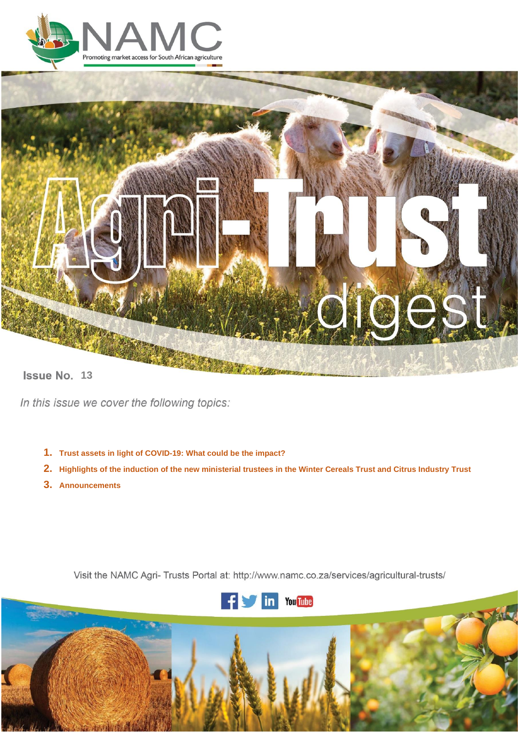



**13**<br>**13** 

In this issue we cover the following topics:

- **1. Trust assets in light of COVID-19: What could be the impact?**
- 2. Highlights of the induction of the new ministerial trustees in the Winter Cereals Trust and Citrus Industry Trust
- **3. Announcements**

Visit the NAMC Agri- Trusts Portal at: http://www.namc.co.za/services/agricultural-trusts/



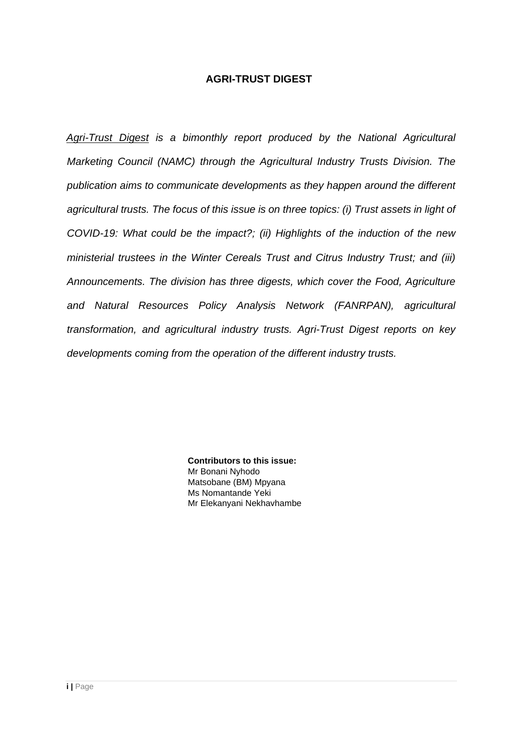## **AGRI-TRUST DIGEST**

*Agri-Trust Digest is a bimonthly report produced by the National Agricultural Marketing Council (NAMC) through the Agricultural Industry Trusts Division. The publication aims to communicate developments as they happen around the different agricultural trusts. The focus of this issue is on three topics: (i) Trust assets in light of COVID-19: What could be the impact?; (ii) Highlights of the induction of the new ministerial trustees in the Winter Cereals Trust and Citrus Industry Trust; and (iii) Announcements. The division has three digests, which cover the Food, Agriculture and Natural Resources Policy Analysis Network (FANRPAN), agricultural transformation, and agricultural industry trusts. Agri-Trust Digest reports on key developments coming from the operation of the different industry trusts.*

> **Contributors to this issue:** Mr Bonani Nyhodo Matsobane (BM) Mpyana Ms Nomantande Yeki Mr Elekanyani Nekhavhambe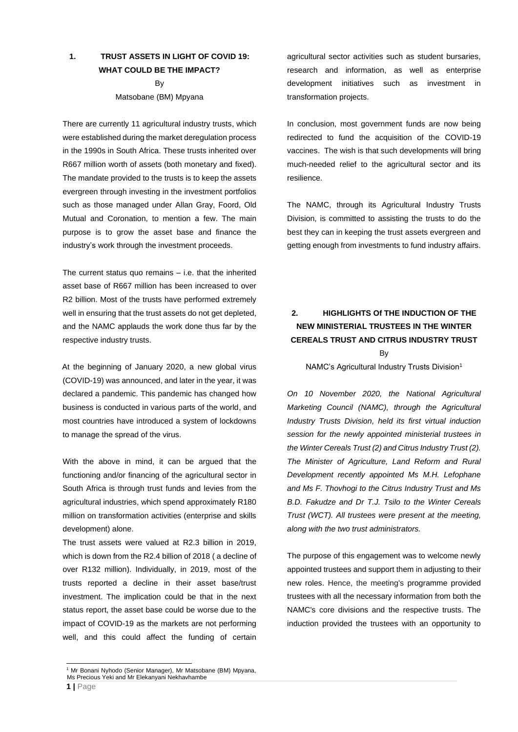### **1. TRUST ASSETS IN LIGHT OF COVID 19: WHAT COULD BE THE IMPACT?**

By Matsobane (BM) Mpyana

There are currently 11 agricultural industry trusts, which were established during the market deregulation process in the 1990s in South Africa. These trusts inherited over R667 million worth of assets (both monetary and fixed). The mandate provided to the trusts is to keep the assets evergreen through investing in the investment portfolios such as those managed under Allan Gray, Foord, Old Mutual and Coronation, to mention a few. The main purpose is to grow the asset base and finance the industry's work through the investment proceeds.

The current status quo remains  $-$  i.e. that the inherited asset base of R667 million has been increased to over R2 billion. Most of the trusts have performed extremely well in ensuring that the trust assets do not get depleted. and the NAMC applauds the work done thus far by the respective industry trusts.

At the beginning of January 2020, a new global virus (COVID-19) was announced, and later in the year, it was declared a pandemic. This pandemic has changed how business is conducted in various parts of the world, and most countries have introduced a system of lockdowns to manage the spread of the virus.

With the above in mind, it can be argued that the functioning and/or financing of the agricultural sector in South Africa is through trust funds and levies from the agricultural industries, which spend approximately R180 million on transformation activities (enterprise and skills development) alone.

The trust assets were valued at R2.3 billion in 2019, which is down from the R2.4 billion of 2018 ( a decline of over R132 million). Individually, in 2019, most of the trusts reported a decline in their asset base/trust investment. The implication could be that in the next status report, the asset base could be worse due to the impact of COVID-19 as the markets are not performing well, and this could affect the funding of certain

agricultural sector activities such as student bursaries, research and information, as well as enterprise development initiatives such as investment in transformation projects.

In conclusion, most government funds are now being redirected to fund the acquisition of the COVID-19 vaccines. The wish is that such developments will bring much-needed relief to the agricultural sector and its resilience.

The NAMC, through its Agricultural Industry Trusts Division, is committed to assisting the trusts to do the best they can in keeping the trust assets evergreen and getting enough from investments to fund industry affairs.

## **2. HIGHLIGHTS Of THE INDUCTION OF THE NEW MINISTERIAL TRUSTEES IN THE WINTER CEREALS TRUST AND CITRUS INDUSTRY TRUST**

By

NAMC's Agricultural Industry Trusts Division<sup>1</sup>

*On 10 November 2020, the National Agricultural Marketing Council (NAMC), through the Agricultural Industry Trusts Division, held its first virtual induction session for the newly appointed ministerial trustees in the Winter Cereals Trust (2) and Citrus Industry Trust (2). The Minister of Agriculture, Land Reform and Rural Development recently appointed Ms M.H. Lefophane and Ms F. Thovhogi to the Citrus Industry Trust and Ms B.D. Fakudze and Dr T.J. Tsilo to the Winter Cereals Trust (WCT). All trustees were present at the meeting, along with the two trust administrators.* 

The purpose of this engagement was to welcome newly appointed trustees and support them in adjusting to their new roles. Hence, the meeting's programme provided trustees with all the necessary information from both the NAMC's core divisions and the respective trusts. The induction provided the trustees with an opportunity to

<sup>1</sup> Mr Bonani Nyhodo (Senior Manager), Mr Matsobane (BM) Mpyana, Ms Precious Yeki and Mr Elekanyani Nekhavhambe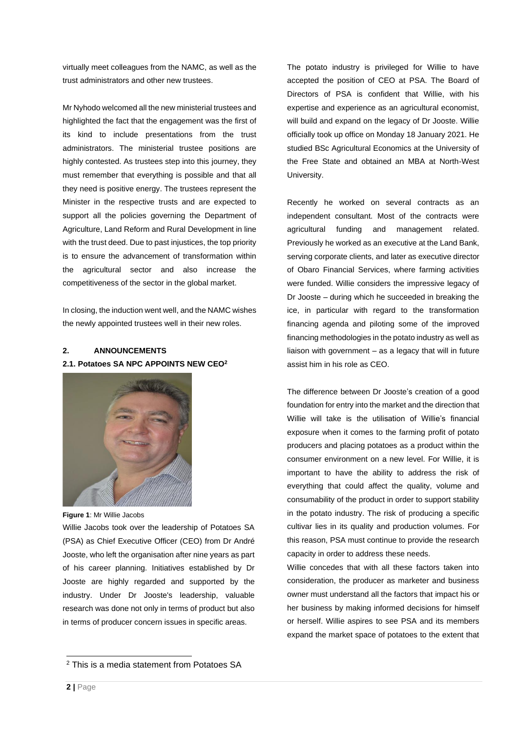virtually meet colleagues from the NAMC, as well as the trust administrators and other new trustees.

Mr Nyhodo welcomed all the new ministerial trustees and highlighted the fact that the engagement was the first of its kind to include presentations from the trust administrators. The ministerial trustee positions are highly contested. As trustees step into this journey, they must remember that everything is possible and that all they need is positive energy. The trustees represent the Minister in the respective trusts and are expected to support all the policies governing the Department of Agriculture, Land Reform and Rural Development in line with the trust deed. Due to past injustices, the top priority is to ensure the advancement of transformation within the agricultural sector and also increase the competitiveness of the sector in the global market.

In closing, the induction went well, and the NAMC wishes the newly appointed trustees well in their new roles.

#### **2. ANNOUNCEMENTS 2.1. Potatoes SA NPC APPOINTS NEW CEO<sup>2</sup>**



**Figure 1**: Mr Willie Jacobs

Willie Jacobs took over the leadership of Potatoes SA (PSA) as Chief Executive Officer (CEO) from Dr André Jooste, who left the organisation after nine years as part of his career planning. Initiatives established by Dr Jooste are highly regarded and supported by the industry. Under Dr Jooste's leadership, valuable research was done not only in terms of product but also in terms of producer concern issues in specific areas.

The potato industry is privileged for Willie to have accepted the position of CEO at PSA. The Board of Directors of PSA is confident that Willie, with his expertise and experience as an agricultural economist, will build and expand on the legacy of Dr Jooste. Willie officially took up office on Monday 18 January 2021. He studied BSc Agricultural Economics at the University of the Free State and obtained an MBA at North-West University.

Recently he worked on several contracts as an independent consultant. Most of the contracts were agricultural funding and management related. Previously he worked as an executive at the Land Bank, serving corporate clients, and later as executive director of Obaro Financial Services, where farming activities were funded. Willie considers the impressive legacy of Dr Jooste – during which he succeeded in breaking the ice, in particular with regard to the transformation financing agenda and piloting some of the improved financing methodologies in the potato industry as well as liaison with government – as a legacy that will in future assist him in his role as CEO.

The difference between Dr Jooste's creation of a good foundation for entry into the market and the direction that Willie will take is the utilisation of Willie's financial exposure when it comes to the farming profit of potato producers and placing potatoes as a product within the consumer environment on a new level. For Willie, it is important to have the ability to address the risk of everything that could affect the quality, volume and consumability of the product in order to support stability in the potato industry. The risk of producing a specific cultivar lies in its quality and production volumes. For this reason, PSA must continue to provide the research capacity in order to address these needs.

Willie concedes that with all these factors taken into consideration, the producer as marketer and business owner must understand all the factors that impact his or her business by making informed decisions for himself or herself. Willie aspires to see PSA and its members expand the market space of potatoes to the extent that

<sup>2</sup> This is a media statement from Potatoes SA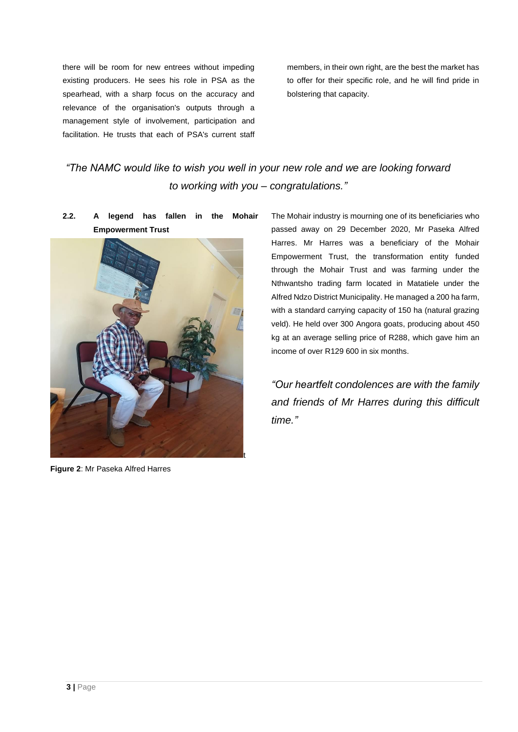there will be room for new entrees without impeding existing producers. He sees his role in PSA as the spearhead, with a sharp focus on the accuracy and relevance of the organisation's outputs through a management style of involvement, participation and facilitation. He trusts that each of PSA's current staff

members, in their own right, are the best the market has to offer for their specific role, and he will find pride in bolstering that capacity.

# *"The NAMC would like to wish you well in your new role and we are looking forward to working with you – congratulations."*

**2.2. A legend has fallen in the Mohair Empowerment Trust**



**Figure 2**: Mr Paseka Alfred Harres

The Mohair industry is mourning one of its beneficiaries who passed away on 29 December 2020, Mr Paseka Alfred Harres. Mr Harres was a beneficiary of the Mohair Empowerment Trust, the transformation entity funded through the Mohair Trust and was farming under the Nthwantsho trading farm located in Matatiele under the Alfred Ndzo District Municipality. He managed a 200 ha farm, with a standard carrying capacity of 150 ha (natural grazing veld). He held over 300 Angora goats, producing about 450 kg at an average selling price of R288, which gave him an income of over R129 600 in six months.

*"Our heartfelt condolences are with the family and friends of Mr Harres during this difficult time."*